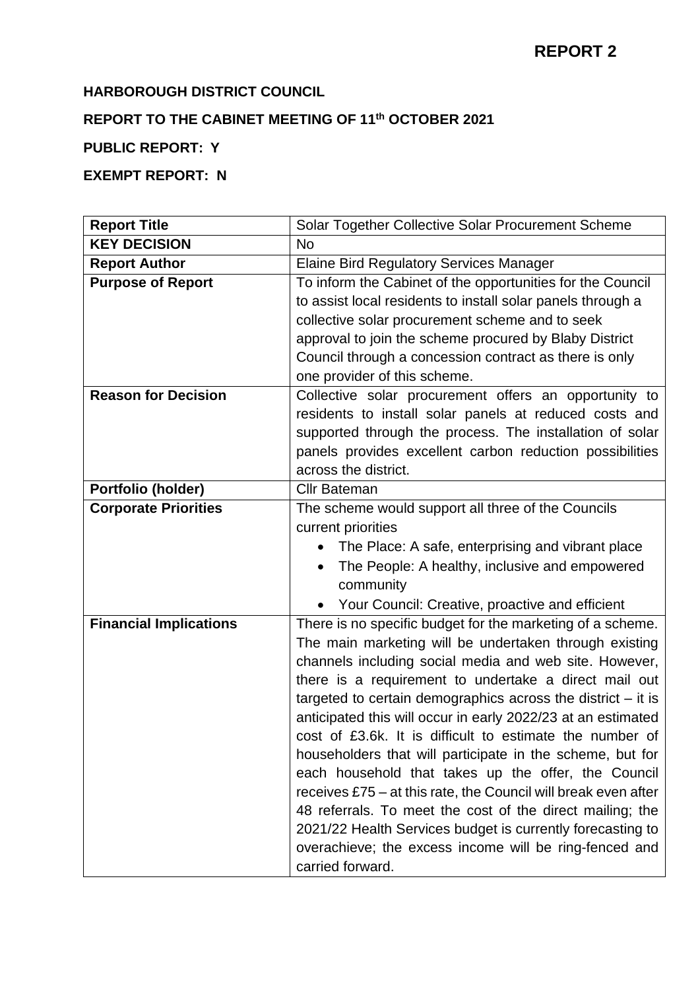### **HARBOROUGH DISTRICT COUNCIL**

# **REPORT TO THE CABINET MEETING OF 11th OCTOBER 2021**

## **PUBLIC REPORT: Y**

## **EXEMPT REPORT: N**

| <b>Report Title</b>           | Solar Together Collective Solar Procurement Scheme                                                                        |
|-------------------------------|---------------------------------------------------------------------------------------------------------------------------|
| <b>KEY DECISION</b>           | <b>No</b>                                                                                                                 |
| <b>Report Author</b>          | <b>Elaine Bird Regulatory Services Manager</b>                                                                            |
| <b>Purpose of Report</b>      | To inform the Cabinet of the opportunities for the Council<br>to assist local residents to install solar panels through a |
|                               | collective solar procurement scheme and to seek                                                                           |
|                               | approval to join the scheme procured by Blaby District                                                                    |
|                               | Council through a concession contract as there is only                                                                    |
|                               | one provider of this scheme.                                                                                              |
| <b>Reason for Decision</b>    | Collective solar procurement offers an opportunity to                                                                     |
|                               | residents to install solar panels at reduced costs and                                                                    |
|                               | supported through the process. The installation of solar                                                                  |
|                               | panels provides excellent carbon reduction possibilities<br>across the district.                                          |
| Portfolio (holder)            | <b>Cllr Bateman</b>                                                                                                       |
| <b>Corporate Priorities</b>   | The scheme would support all three of the Councils                                                                        |
|                               | current priorities                                                                                                        |
|                               | The Place: A safe, enterprising and vibrant place                                                                         |
|                               | The People: A healthy, inclusive and empowered<br>$\bullet$                                                               |
|                               | community                                                                                                                 |
|                               | Your Council: Creative, proactive and efficient<br>$\bullet$                                                              |
| <b>Financial Implications</b> | There is no specific budget for the marketing of a scheme.                                                                |
|                               | The main marketing will be undertaken through existing                                                                    |
|                               | channels including social media and web site. However,                                                                    |
|                               | there is a requirement to undertake a direct mail out                                                                     |
|                               | targeted to certain demographics across the district $-$ it is                                                            |
|                               | anticipated this will occur in early 2022/23 at an estimated<br>cost of £3.6k. It is difficult to estimate the number of  |
|                               | householders that will participate in the scheme, but for                                                                 |
|                               | each household that takes up the offer, the Council                                                                       |
|                               | receives £75 – at this rate, the Council will break even after                                                            |
|                               | 48 referrals. To meet the cost of the direct mailing; the                                                                 |
|                               | 2021/22 Health Services budget is currently forecasting to                                                                |
|                               | overachieve; the excess income will be ring-fenced and                                                                    |
|                               | carried forward.                                                                                                          |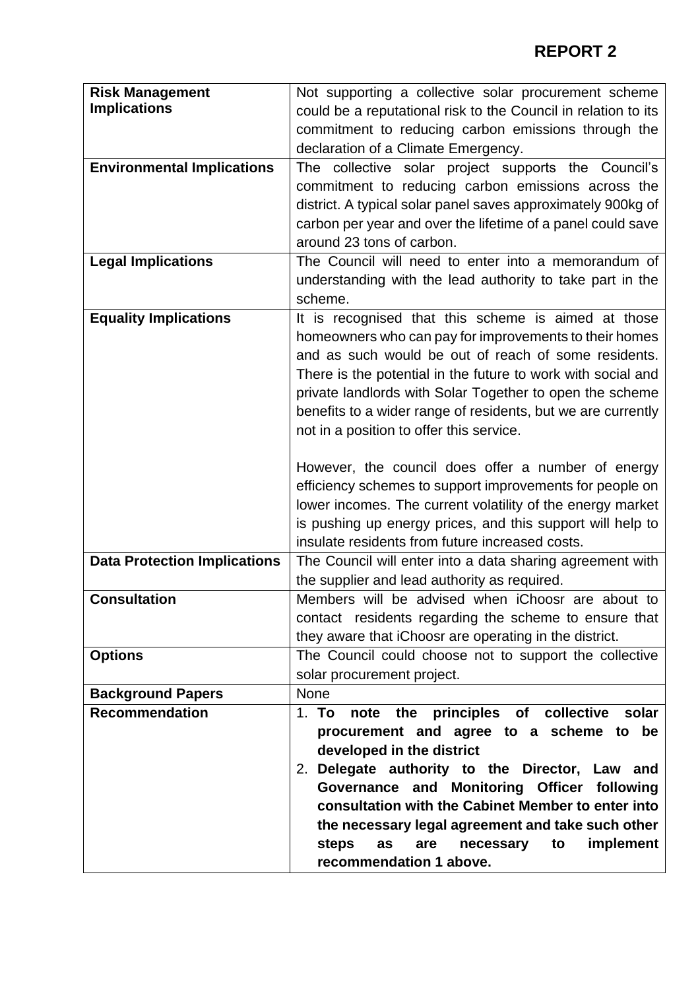| <b>Risk Management</b>              | Not supporting a collective solar procurement scheme           |
|-------------------------------------|----------------------------------------------------------------|
| <b>Implications</b>                 | could be a reputational risk to the Council in relation to its |
|                                     | commitment to reducing carbon emissions through the            |
|                                     | declaration of a Climate Emergency.                            |
| <b>Environmental Implications</b>   | The collective solar project supports the Council's            |
|                                     | commitment to reducing carbon emissions across the             |
|                                     |                                                                |
|                                     | district. A typical solar panel saves approximately 900kg of   |
|                                     | carbon per year and over the lifetime of a panel could save    |
|                                     | around 23 tons of carbon.                                      |
| <b>Legal Implications</b>           | The Council will need to enter into a memorandum of            |
|                                     | understanding with the lead authority to take part in the      |
|                                     | scheme.                                                        |
| <b>Equality Implications</b>        | It is recognised that this scheme is aimed at those            |
|                                     | homeowners who can pay for improvements to their homes         |
|                                     | and as such would be out of reach of some residents.           |
|                                     | There is the potential in the future to work with social and   |
|                                     | private landlords with Solar Together to open the scheme       |
|                                     | benefits to a wider range of residents, but we are currently   |
|                                     | not in a position to offer this service.                       |
|                                     |                                                                |
|                                     | However, the council does offer a number of energy             |
|                                     | efficiency schemes to support improvements for people on       |
|                                     | lower incomes. The current volatility of the energy market     |
|                                     | is pushing up energy prices, and this support will help to     |
|                                     | insulate residents from future increased costs.                |
|                                     |                                                                |
| <b>Data Protection Implications</b> | The Council will enter into a data sharing agreement with      |
|                                     | the supplier and lead authority as required.                   |
| <b>Consultation</b>                 | Members will be advised when iChoosr are about to              |
|                                     | contact residents regarding the scheme to ensure that          |
|                                     | they aware that iChoosr are operating in the district.         |
| <b>Options</b>                      | The Council could choose not to support the collective         |
|                                     | solar procurement project.                                     |
| <b>Background Papers</b>            | <b>None</b>                                                    |
| <b>Recommendation</b>               | 1. To note the principles of collective<br>solar               |
|                                     | procurement and agree to a scheme to be                        |
|                                     | developed in the district                                      |
|                                     | 2. Delegate authority to the Director, Law and                 |
|                                     | Governance and Monitoring Officer following                    |
|                                     | consultation with the Cabinet Member to enter into             |
|                                     | the necessary legal agreement and take such other              |
|                                     | implement<br>steps<br>as<br>are<br>necessary<br>to             |
|                                     | recommendation 1 above.                                        |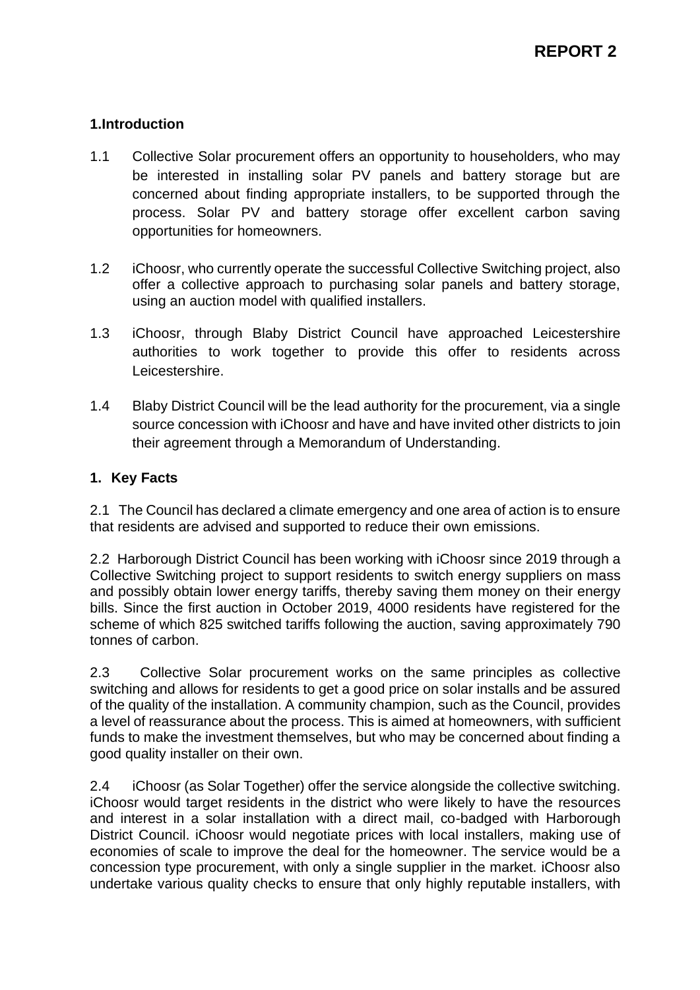### **1.Introduction**

- 1.1 Collective Solar procurement offers an opportunity to householders, who may be interested in installing solar PV panels and battery storage but are concerned about finding appropriate installers, to be supported through the process. Solar PV and battery storage offer excellent carbon saving opportunities for homeowners.
- 1.2 iChoosr, who currently operate the successful Collective Switching project, also offer a collective approach to purchasing solar panels and battery storage, using an auction model with qualified installers.
- 1.3 iChoosr, through Blaby District Council have approached Leicestershire authorities to work together to provide this offer to residents across Leicestershire.
- 1.4 Blaby District Council will be the lead authority for the procurement, via a single source concession with iChoosr and have and have invited other districts to join their agreement through a Memorandum of Understanding.

#### **1. Key Facts**

2.1 The Council has declared a climate emergency and one area of action is to ensure that residents are advised and supported to reduce their own emissions.

2.2 Harborough District Council has been working with iChoosr since 2019 through a Collective Switching project to support residents to switch energy suppliers on mass and possibly obtain lower energy tariffs, thereby saving them money on their energy bills. Since the first auction in October 2019, 4000 residents have registered for the scheme of which 825 switched tariffs following the auction, saving approximately 790 tonnes of carbon.

2.3 Collective Solar procurement works on the same principles as collective switching and allows for residents to get a good price on solar installs and be assured of the quality of the installation. A community champion, such as the Council, provides a level of reassurance about the process. This is aimed at homeowners, with sufficient funds to make the investment themselves, but who may be concerned about finding a good quality installer on their own.

2.4 iChoosr (as Solar Together) offer the service alongside the collective switching. iChoosr would target residents in the district who were likely to have the resources and interest in a solar installation with a direct mail, co-badged with Harborough District Council. iChoosr would negotiate prices with local installers, making use of economies of scale to improve the deal for the homeowner. The service would be a concession type procurement, with only a single supplier in the market. iChoosr also undertake various quality checks to ensure that only highly reputable installers, with